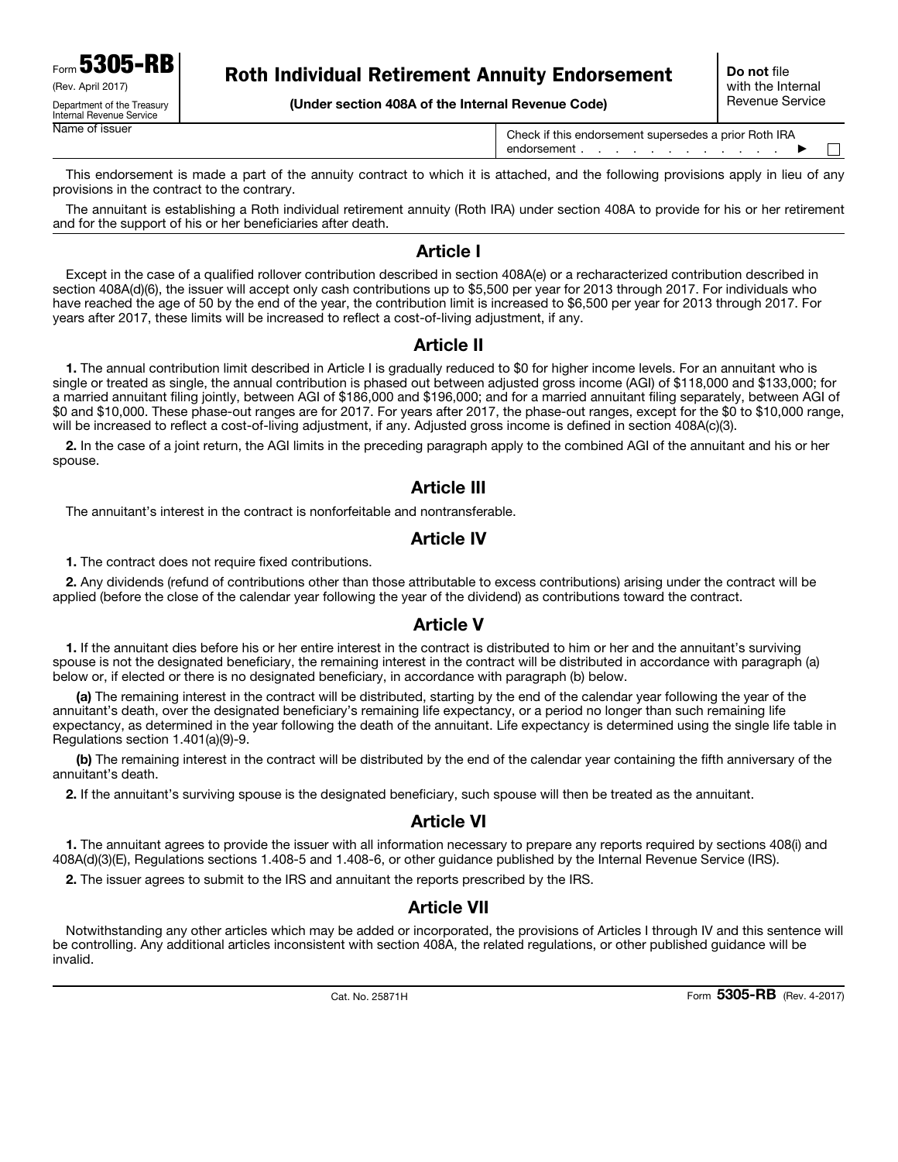Form 5305-RB (Rev. April 2017) Department of the Treasury

Internal Revenue Service

## Roth Individual Retirement Annuity Endorsement

(Under section 408A of the Internal Revenue Code)

Name of issuer Check if this endorsement supersedes a prior Roth IRA endorsement . . . . . . . . . . .  $\blacktriangleright$  $\mathbf{L}$ 

This endorsement is made a part of the annuity contract to which it is attached, and the following provisions apply in lieu of any provisions in the contract to the contrary.

The annuitant is establishing a Roth individual retirement annuity (Roth IRA) under section 408A to provide for his or her retirement and for the support of his or her beneficiaries after death.

#### Article I

Except in the case of a qualified rollover contribution described in section 408A(e) or a recharacterized contribution described in section 408A(d)(6), the issuer will accept only cash contributions up to \$5,500 per year for 2013 through 2017. For individuals who have reached the age of 50 by the end of the year, the contribution limit is increased to \$6,500 per year for 2013 through 2017. For years after 2017, these limits will be increased to reflect a cost-of-living adjustment, if any.

#### Article II

1. The annual contribution limit described in Article I is gradually reduced to \$0 for higher income levels. For an annuitant who is single or treated as single, the annual contribution is phased out between adjusted gross income (AGI) of \$118,000 and \$133,000; for a married annuitant filing jointly, between AGI of \$186,000 and \$196,000; and for a married annuitant filing separately, between AGI of \$0 and \$10,000. These phase-out ranges are for 2017. For years after 2017, the phase-out ranges, except for the \$0 to \$10,000 range, will be increased to reflect a cost-of-living adjustment, if any. Adjusted gross income is defined in section 408A(c)(3).

2. In the case of a joint return, the AGI limits in the preceding paragraph apply to the combined AGI of the annuitant and his or her spouse.

#### Article III

The annuitant's interest in the contract is nonforfeitable and nontransferable.

#### Article IV

1. The contract does not require fixed contributions.

2. Any dividends (refund of contributions other than those attributable to excess contributions) arising under the contract will be applied (before the close of the calendar year following the year of the dividend) as contributions toward the contract.

#### Article V

1. If the annuitant dies before his or her entire interest in the contract is distributed to him or her and the annuitant's surviving spouse is not the designated beneficiary, the remaining interest in the contract will be distributed in accordance with paragraph (a) below or, if elected or there is no designated beneficiary, in accordance with paragraph (b) below.

(a) The remaining interest in the contract will be distributed, starting by the end of the calendar year following the year of the annuitant's death, over the designated beneficiary's remaining life expectancy, or a period no longer than such remaining life expectancy, as determined in the year following the death of the annuitant. Life expectancy is determined using the single life table in Regulations section 1.401(a)(9)-9.

(b) The remaining interest in the contract will be distributed by the end of the calendar year containing the fifth anniversary of the annuitant's death.

2. If the annuitant's surviving spouse is the designated beneficiary, such spouse will then be treated as the annuitant.

## Article VI

1. The annuitant agrees to provide the issuer with all information necessary to prepare any reports required by sections 408(i) and 408A(d)(3)(E), Regulations sections 1.408-5 and 1.408-6, or other guidance published by the Internal Revenue Service (IRS).

2. The issuer agrees to submit to the IRS and annuitant the reports prescribed by the IRS.

#### Article VII

Notwithstanding any other articles which may be added or incorporated, the provisions of Articles I through IV and this sentence will be controlling. Any additional articles inconsistent with section 408A, the related regulations, or other published guidance will be invalid.